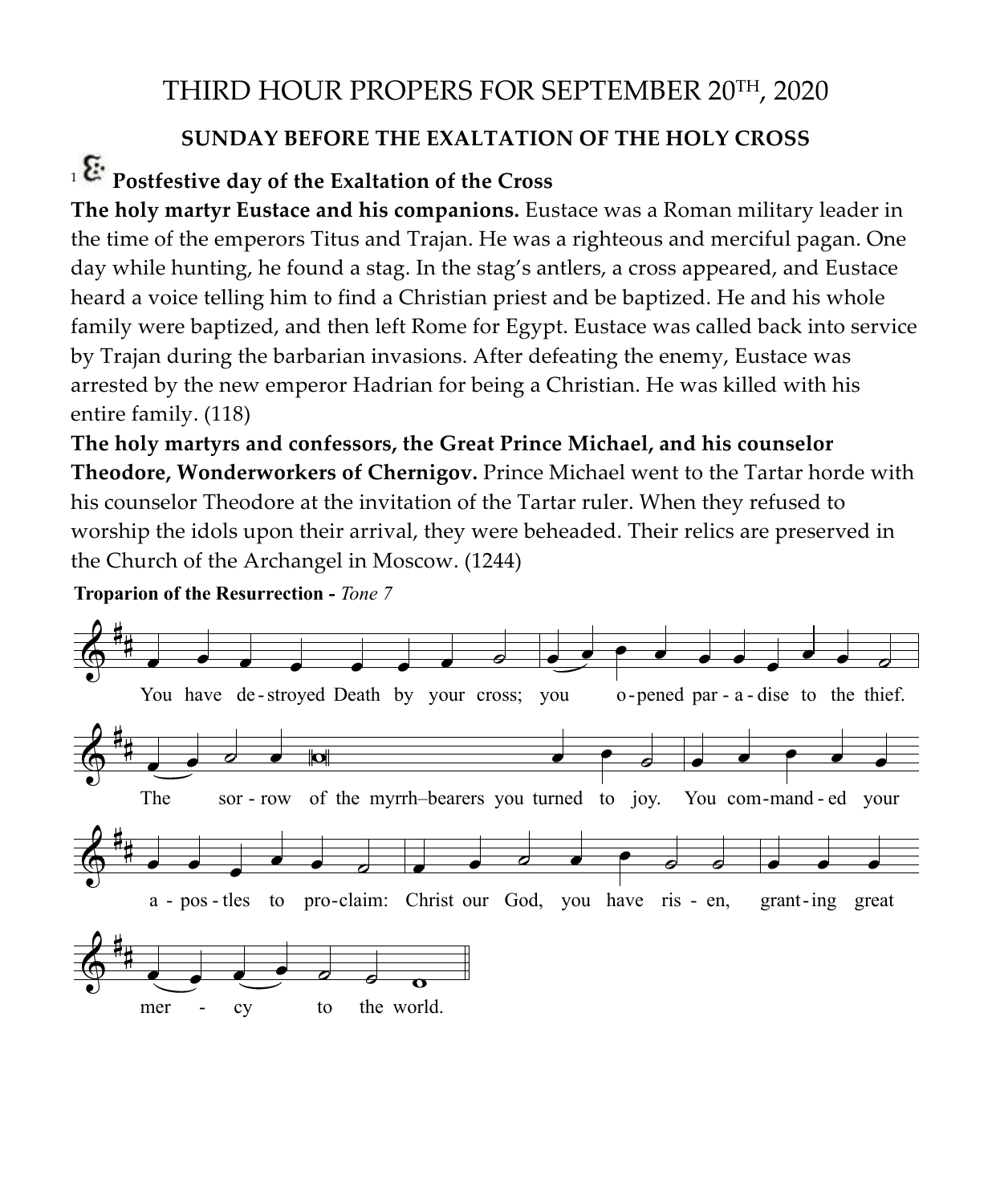## THIRD HOUR PROPERS FOR SEPTEMBER 20TH, 2020

## **SUNDAY BEFORE THE EXALTATION OF THE HOLY CROSS** SUNDAY BEFORE THE EXALTATION

## <sup>1</sup> **Postfestive day of the Exaltation of the Cross**  strestive day or the Exaltation or the Cross

**The holy martyr Eustace and his companions.** Eustace was a Roman military leader in the time of the emperors Titus and Trajan. He was a righteous and merciful pagan. One the time of the emperors Titus and Trajan. He was a righteous and merciful pagan. One<br>day while hunting, he found a stag. In the stag's antlers, a cross appeared, and Eustace heard a voice telling him to find a Christian priest and be baptized. He and his whole family were baptized, and then left Rome for Egypt. Eustace was called back into service by Trajan during the barbarian invasions. After defeating the enemy, Eustace was by Trajan during the barbarian invasions. After defeating the enemy, Eustace was arrested by the new emperor Hadrian for being a Christian. He was killed with his entire family. (118) y Trajan during the barbarian invasions. After defeating the enemy, Eustace was<br>rrested by the new emperor Hadrian for being a Christian. He was killed with his<br>ntire family. (118)

The holy martyrs and confessors, the Great Prince Michael, and his counselor **Theodore, Wonderworkers of Chernigov.** Prince Michael went to the Tartar horde with<br>his counselor Theodore at the invitation of the Tartar ruler. When they refused to T**heodore, Wonderworkers of Chernigov.** Prince Michael went to the Tartar horde w<br>his counselor Theodore at the invitation of the Tartar ruler. When they refused to worship the idols upon their arrival, they were beheaded. Their relics are preserved in the Church of the Archangel in Moscow. (1244)

 $\delta^*$ # **。 。 。 。 。** 。 。 You have de-stroyed Death by your cross; you o-pened par - a-dise to the thief.  $\bullet$   $\bullet$   $\bullet$   $\bullet$   $\bullet$   $\bullet$   $\bullet$   $\bullet$  $\delta^*$ # <sup>œ</sup> <sup>œ</sup> ˙ <sup>œ</sup> <sup>W</sup> <sup>œ</sup> <sup>œ</sup> ˙ The sor - row of the myrrh–bearers you turned to joy. You com-mand - ed your œ œ œ œ œ  $\frac{2}{9}$ # **. . . . .** . . a - pos - tles to pro-claim: Christ our God, you have ris - en, grant-ing great  $\bullet$   $\bullet$   $\bullet$   $\bullet$   $\circ$   $\circ$ . . .  $\frac{2}{9}$  $\overline{\mathcal{P}}$  .  $\overline{\mathcal{P}}$   $\overline{\mathcal{P}}$   $\overline{\mathcal{P}}$   $\overline{\mathcal{P}}$   $\overline{\mathcal{P}}$   $\overline{\mathcal{P}}$ mer - cy to the world.

**Troparion of the Resurrection -** *Tone 7*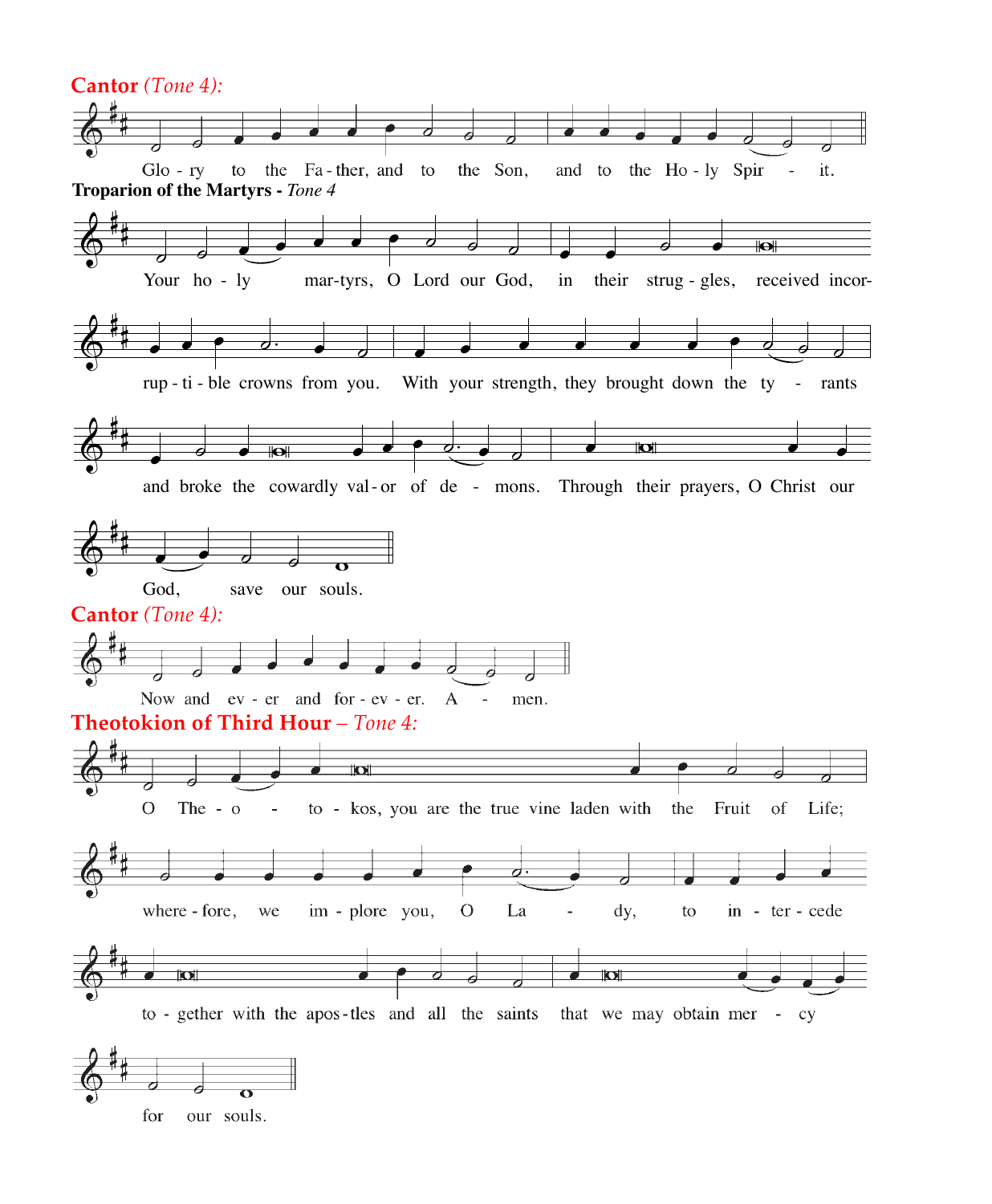

our souls. for